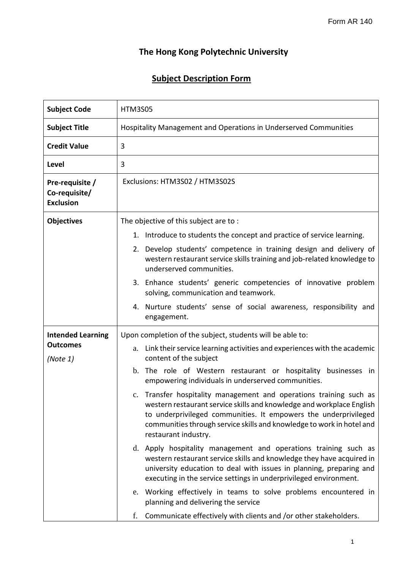## **The Hong Kong Polytechnic University**

## **Subject Description Form**

| <b>Subject Code</b>                                  | <b>HTM3S05</b>                                                                                                                                                                                                                                                                                                     |
|------------------------------------------------------|--------------------------------------------------------------------------------------------------------------------------------------------------------------------------------------------------------------------------------------------------------------------------------------------------------------------|
| <b>Subject Title</b>                                 | Hospitality Management and Operations in Underserved Communities                                                                                                                                                                                                                                                   |
| <b>Credit Value</b>                                  | 3                                                                                                                                                                                                                                                                                                                  |
| <b>Level</b>                                         | 3                                                                                                                                                                                                                                                                                                                  |
| Pre-requisite /<br>Co-requisite/<br><b>Exclusion</b> | Exclusions: HTM3S02 / HTM3S02S                                                                                                                                                                                                                                                                                     |
| <b>Objectives</b>                                    | The objective of this subject are to:                                                                                                                                                                                                                                                                              |
|                                                      | Introduce to students the concept and practice of service learning.<br>1.                                                                                                                                                                                                                                          |
|                                                      | Develop students' competence in training design and delivery of<br>2.<br>western restaurant service skills training and job-related knowledge to<br>underserved communities.                                                                                                                                       |
|                                                      | 3. Enhance students' generic competencies of innovative problem<br>solving, communication and teamwork.                                                                                                                                                                                                            |
|                                                      | 4. Nurture students' sense of social awareness, responsibility and<br>engagement.                                                                                                                                                                                                                                  |
| <b>Intended Learning</b>                             | Upon completion of the subject, students will be able to:                                                                                                                                                                                                                                                          |
| <b>Outcomes</b><br>(Note 1)                          | Link their service learning activities and experiences with the academic<br>a.<br>content of the subject                                                                                                                                                                                                           |
|                                                      | The role of Western restaurant or hospitality businesses in<br>$\mathbf b$ .<br>empowering individuals in underserved communities.                                                                                                                                                                                 |
|                                                      | Transfer hospitality management and operations training such as<br>c.<br>western restaurant service skills and knowledge and workplace English<br>to underprivileged communities. It empowers the underprivileged<br>communities through service skills and knowledge to work in hotel and<br>restaurant industry. |
|                                                      | d. Apply hospitality management and operations training such as<br>western restaurant service skills and knowledge they have acquired in<br>university education to deal with issues in planning, preparing and<br>executing in the service settings in underprivileged environment.                               |
|                                                      | e. Working effectively in teams to solve problems encountered in<br>planning and delivering the service                                                                                                                                                                                                            |
|                                                      | f.<br>Communicate effectively with clients and /or other stakeholders.                                                                                                                                                                                                                                             |